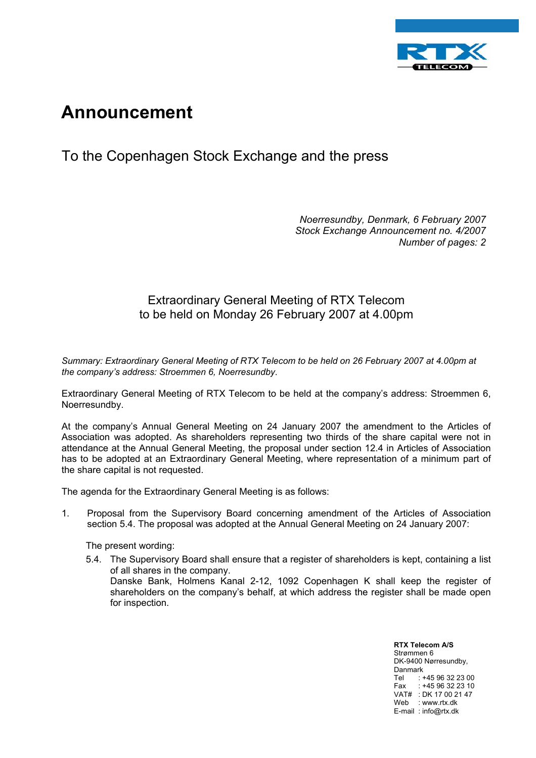

## **Announcement**

## To the Copenhagen Stock Exchange and the press

*Noerresundby, Denmark, 6 February 2007 Stock Exchange Announcement no. 4/2007 Number of pages: 2* 

## Extraordinary General Meeting of RTX Telecom to be held on Monday 26 February 2007 at 4.00pm

*Summary: Extraordinary General Meeting of RTX Telecom to be held on 26 February 2007 at 4.00pm at the company's address: Stroemmen 6, Noerresundby*.

Extraordinary General Meeting of RTX Telecom to be held at the company's address: Stroemmen 6, Noerresundby.

At the company's Annual General Meeting on 24 January 2007 the amendment to the Articles of Association was adopted. As shareholders representing two thirds of the share capital were not in attendance at the Annual General Meeting, the proposal under section 12.4 in Articles of Association has to be adopted at an Extraordinary General Meeting, where representation of a minimum part of the share capital is not requested.

The agenda for the Extraordinary General Meeting is as follows:

1. Proposal from the Supervisory Board concerning amendment of the Articles of Association section 5.4. The proposal was adopted at the Annual General Meeting on 24 January 2007:

The present wording:

5.4. The Supervisory Board shall ensure that a register of shareholders is kept, containing a list of all shares in the company. Danske Bank, Holmens Kanal 2-12, 1092 Copenhagen K shall keep the register of

shareholders on the company's behalf, at which address the register shall be made open for inspection.

> **RTX Telecom A/S** Strømmen 6 DK-9400 Nørresundby, Danmark Tel : +45 96 32 23 00 Fax : +45 96 32 23 10 VAT# : DK 17 00 21 47 Web : www.rtx.dk E-mail : info@rtx.dk